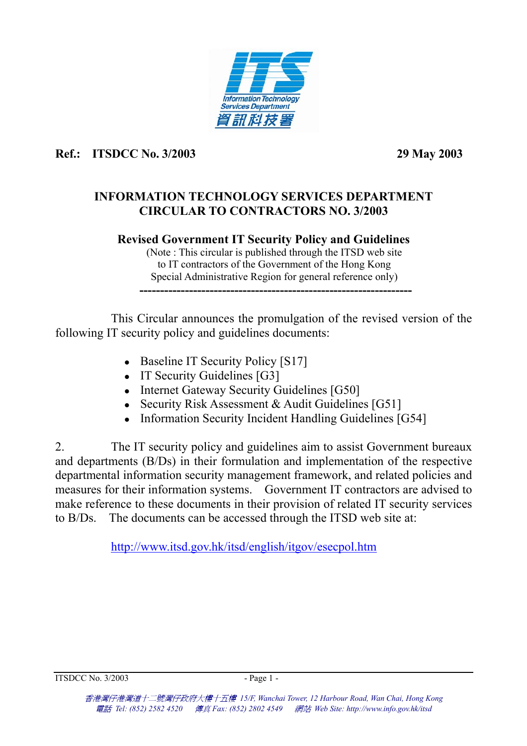

## **Ref.: ITSDCC No. 3/2003 29 May 2003**

## **INFORMATION TECHNOLOGY SERVICES DEPARTMENT CIRCULAR TO CONTRACTORS NO. 3/2003**

## **Revised Government IT Security Policy and Guidelines**

(Note : This circular is published through the ITSD web site to IT contractors of the Government of the Hong Kong Special Administrative Region for general reference only) **------------------------------------------------------------------** 

 This Circular announces the promulgation of the revised version of the following IT security policy and guidelines documents:

- $\bullet$  Baseline IT Security Policy [S17]
- IT Security Guidelines  $[G3]$
- Internet Gateway Security Guidelines [G50]
- Security Risk Assessment & Audit Guidelines  $[G51]$
- Information Security Incident Handling Guidelines  $[G54]$

2. The IT security policy and guidelines aim to assist Government bureaux and departments (B/Ds) in their formulation and implementation of the respective departmental information security management framework, and related policies and measures for their information systems. Government IT contractors are advised to make reference to these documents in their provision of related IT security services to B/Ds. The documents can be accessed through the ITSD web site at:

<http://www.itsd.gov.hk/itsd/english/itgov/esecpol.htm>